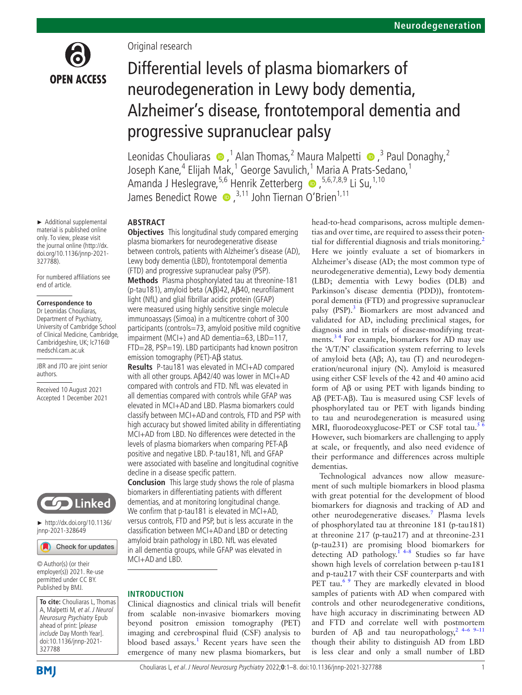

Original research

# Differential levels of plasma biomarkers of neurodegeneration in Lewy body dementia, Alzheimer's disease, frontotemporal dementia and progressive supranuclear palsy

LeonidasChouliaras  $\bullet$ ,<sup>1</sup> Alan Thomas,<sup>2</sup> Maura Malpetti  $\bullet$ ,<sup>3</sup> Paul Donaghy,<sup>2</sup> Joseph Kane,<sup>4</sup> Elijah Mak,<sup>1</sup> George Savulich,<sup>1</sup> Maria A Prats-Sedano,<sup>1</sup> AmandaJ Heslegrave,<sup>5,6</sup> Henrik Zetterberg . 5,6,7,8,9 Li Su,<sup>1,10</sup> James Benedict Rowe  $\bullet$ ,<sup>3,11</sup> John Tiernan O'Brien<sup>1,11</sup>

## **ABSTRACT**

light (NfL) and glial fibrillar acidic protein (GFAP) were measured using highly sensitive single molecule immunoassays (Simoa) in a multicentre cohort of 300 participants (controls=73, amyloid positive mild cognitive impairment (MCI+) and AD dementia=63, LBD=117, FTD=28, PSP=19). LBD participants had known positron

**Results** P-tau181 was elevated in MCI+AD compared with all other groups. Aβ42/40 was lower in MCI+AD compared with controls and FTD. NfL was elevated in all dementias compared with controls while GFAP was elevated in MCI+ADand LBD. Plasma biomarkers could classify between MCI+ADand controls, FTD and PSP with high accuracy but showed limited ability in differentiating MCI+AD from LBD. No differences were detected in the levels of plasma biomarkers when comparing PET-Aβ positive and negative LBD. P-tau181, NfL and GFAP were associated with baseline and longitudinal cognitive

**Conclusion** This large study shows the role of plasma biomarkers in differentiating patients with different dementias, and at monitoring longitudinal change. We confirm that p-tau181 is elevated in MCI+AD, versus controls, FTD and PSP, but is less accurate in the classification between MCI+ADand LBD or detecting amyloid brain pathology in LBD. NfL was elevated in all dementia groups, while GFAP was elevated in

Clinical diagnostics and clinical trials will benefit from scalable non-invasive biomarkers moving beyond positron emission tomography (PET) imaging and cerebrospinal fluid (CSF) analysis to blood based assays.<sup>1</sup> Recent years have seen the emergence of many new plasma biomarkers, but

emission tomography (PET)-Aβ status.

decline in a disease specific pattern.

MCI+ADand LBD.

**INTRODUCTION**

material is published online only. To view, please visit the journal online [\(http://dx.](http://dx.doi.org/10.1136/jnnp-2021-327788) [doi.org/10.1136/jnnp-2021-](http://dx.doi.org/10.1136/jnnp-2021-327788) [327788](http://dx.doi.org/10.1136/jnnp-2021-327788)). For numbered affiliations see end of article. **Objectives** This longitudinal study compared emerging plasma biomarkers for neurodegenerative disease between controls, patients with Alzheimer's disease (AD), Lewy body dementia (LBD), frontotemporal dementia (FTD) and progressive supranuclear palsy (PSP). **Methods** Plasma phosphorylated tau at threonine-181 (p-tau181), amyloid beta (Αβ)42, Aβ40, neurofilament

#### **Correspondence to**

► Additional supplemental

Dr Leonidas Chouliaras, Department of Psychiatry, University of Cambridge School of Clinical Medicine, Cambridge, Cambridgeshire, UK; lc716@ medschl.cam.ac.uk

JBR and JTO are joint senior authors.

Received 10 August 2021 Accepted 1 December 2021



► [http://dx.doi.org/10.1136/](http://​dx.​doi.​org/​10.​1136/jnnp-2021-328649) [jnnp-2021-328649](http://​dx.​doi.​org/​10.​1136/jnnp-2021-328649)

Check for updates

© Author(s) (or their employer(s)) 2021. Re-use permitted under CC BY. Published by BMJ.

**To cite:** Chouliaras L, Thomas A, Malpetti M, et al. J Neurol Neurosurg Psychiatry Epub ahead of print: [please include Day Month Year]. doi:10.1136/jnnp-2021- 327788

head-to-head comparisons, across multiple dementias and over time, are required to assess their poten-tial for differential diagnosis and trials monitoring.<sup>[2](#page-6-1)</sup> Here we jointly evaluate a set of biomarkers in Alzheimer's disease (AD; the most common type of neurodegenerative dementia), Lewy body dementia (LBD; dementia with Lewy bodies (DLB) and Parkinson's disease dementia (PDD)), frontotemporal dementia (FTD) and progressive supranuclear palsy (PSP).<sup>[3](#page-7-0)</sup> Biomarkers are most advanced and validated for AD, including preclinical stages, for diagnosis and in trials of disease-modifying treatments.[3 4](#page-7-0) For example, biomarkers for AD may use the 'A/T/N' classification system referring to levels of amyloid beta (Aβ; A), tau (T) and neurodegeneration/neuronal injury (N). Amyloid is measured using either CSF levels of the 42 and 40 amino acid form of Aβ or using PET with ligands binding to Aβ (PET-Αβ). Tau is measured using CSF levels of phosphorylated tau or PET with ligands binding to tau and neurodegeneration is measured using MRI, fluorodeoxyglucose-PET or CSF total tau.<sup>5</sup> However, such biomarkers are challenging to apply at scale, or frequently, and also need evidence of their performance and differences across multiple dementias.

Technological advances now allow measurement of such multiple biomarkers in blood plasma with great potential for the development of blood biomarkers for diagnosis and tracking of AD and other neurodegenerative diseases.<sup>[7](#page-7-2)</sup> Plasma levels of phosphorylated tau at threonine 181 (p-tau181) at threonine 217 (p-tau217) and at threonine-231 (p-tau231) are promising blood biomarkers for detecting AD pathology.<sup>14–8</sup> Studies so far have shown high levels of correlation between p-tau181 and p-tau217 with their CSF counterparts and with PET tau.<sup>6.9</sup> They are markedly elevated in blood samples of patients with AD when compared with controls and other neurodegenerative conditions, have high accuracy in discriminating between AD and FTD and correlate well with postmortem burden of Aβ and tau neuropathology,<sup>2</sup> <sup>4–6</sup> <sup>9–11</sup> though their ability to distinguish AD from LBD is less clear and only a small number of LBD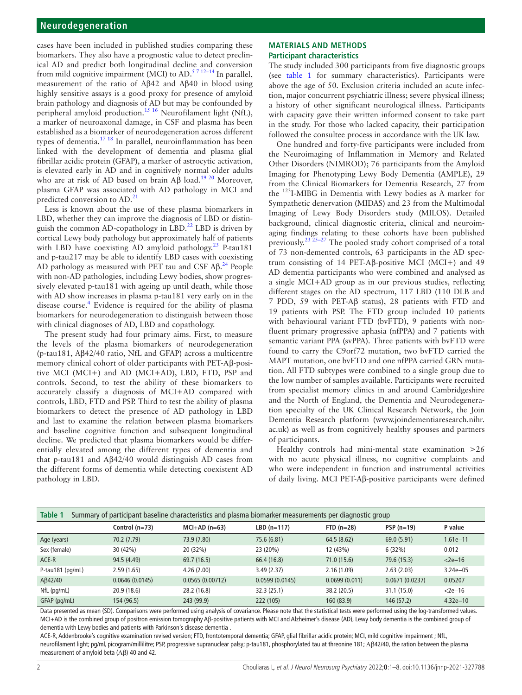cases have been included in published studies comparing these biomarkers. They also have a prognostic value to detect preclinical AD and predict both longitudinal decline and conversion from mild cognitive impairment (MCI) to AD.<sup>5712-14</sup> In parallel, measurement of the ratio of Aβ42 and Aβ40 in blood using highly sensitive assays is a good proxy for presence of amyloid brain pathology and diagnosis of AD but may be confounded by peripheral amyloid production.<sup>[15 16](#page-7-4)</sup> Neurofilament light (NfL), a marker of neuroaxonal damage, in CSF and plasma has been established as a biomarker of neurodegeneration across different types of dementia.<sup>[17 18](#page-7-5)</sup> In parallel, neuroinflammation has been linked with the development of dementia and plasma glial fibrillar acidic protein (GFAP), a marker of astrocytic activation, is elevated early in AD and in cognitively normal older adults who are at risk of AD based on brain  $\overrightarrow{AB}$  load.<sup>19 20</sup> Moreover, plasma GFAP was associated with AD pathology in MCI and predicted conversion to AD.<sup>[21](#page-7-7)</sup>

Less is known about the use of these plasma biomarkers in LBD, whether they can improve the diagnosis of LBD or distin-guish the common AD-copathology in LBD.<sup>[22](#page-7-8)</sup> LBD is driven by cortical Lewy body pathology but approximately half of patients with LBD have coexisting AD amyloid pathology.<sup>23</sup> P-tau181 and p-tau217 may be able to identify LBD cases with coexisting AD pathology as measured with PET tau and CSF  $A\beta$ .<sup>[24](#page-7-10)</sup> People with non-AD pathologies, including Lewy bodies, show progressively elevated p-tau181 with ageing up until death, while those with AD show increases in plasma p-tau181 very early on in the disease course.<sup>[4](#page-7-11)</sup> Evidence is required for the ability of plasma biomarkers for neurodegeneration to distinguish between those with clinical diagnoses of AD, LBD and copathology.

The present study had four primary aims. First, to measure the levels of the plasma biomarkers of neurodegeneration (p-tau181, Aβ42/40 ratio, NfL and GFAP) across a multicentre memory clinical cohort of older participants with PET-Αβ-positive MCI (MCI+) and AD (MCI+AD), LBD, FTD, PSP and controls. Second, to test the ability of these biomarkers to accurately classify a diagnosis of MCI+AD compared with controls, LBD, FTD and PSP. Third to test the ability of plasma biomarkers to detect the presence of AD pathology in LBD and last to examine the relation between plasma biomarkers and baseline cognitive function and subsequent longitudinal decline. We predicted that plasma biomarkers would be differentially elevated among the different types of dementia and that p-tau181 and Αβ42/40 would distinguish AD cases from the different forms of dementia while detecting coexistent ΑD pathology in LBD.

#### **MATERIALS AND METHODS Participant characteristics**

The study included 300 participants from five diagnostic groups (see [table](#page-1-0) 1 for summary characteristics). Participants were above the age of 50. Exclusion criteria included an acute infection, major concurrent psychiatric illness; severe physical illness; a history of other significant neurological illness. Participants with capacity gave their written informed consent to take part in the study. For those who lacked capacity, their participation followed the consultee process in accordance with the UK law.

One hundred and forty-five participants were included from the Neuroimaging of Inflammation in Memory and Related Other Disorders (NIMROD); 76 participants from the Amyloid Imaging for Phenotyping Lewy Body Dementia (AMPLE), 29 from the Clinical Biomarkers for Dementia Research, 27 from the 123I-MIBG in Dementia with Lewy bodies as A marker for Sympathetic denervation (MIDAS) and 23 from the Multimodal Imaging of Lewy Body Disorders study (MILOS). Detailed background, clinical diagnostic criteria, clinical and neuroimaging findings relating to these cohorts have been published previously.[23 25–27](#page-7-9) The pooled study cohort comprised of a total of 73 non-demented controls, 63 participants in the AD spectrum consisting of 14 PET-Αβ-positive MCI (MCI+) and 49 AD dementia participants who were combined and analysed as a single MCI+AD group as in our previous studies, reflecting different stages on the AD spectrum, 117 LBD (110 DLB and 7 PDD, 59 with PET-Αβ status), 28 patients with FTD and 19 patients with PSP. The FTD group included 10 patients with behavioural variant FTD (bvFTD), 9 patients with nonfluent primary progressive aphasia (nfPPA) and 7 patients with semantic variant PPA (svPPA). Three patients with bvFTD were found to carry the C9orf72 mutation, two bvFTD carried the MAPT mutation, one bvFTD and one nfPPA carried GRN mutation. All FTD subtypes were combined to a single group due to the low number of samples available. Participants were recruited from specialist memory clinics in and around Cambridgeshire and the North of England, the Dementia and Neurodegeneration specialty of the UK Clinical Research Network, the Join Dementia Research platform ([www.joindementiaresearch.nihr.](www.joindementiaresearch.nihr.ac.uk) [ac.uk](www.joindementiaresearch.nihr.ac.uk)) as well as from cognitively healthy spouses and partners of participants.

Healthy controls had mini-mental state examination >26 with no acute physical illness, no cognitive complaints and who were independent in function and instrumental activities of daily living. MCI PET-Aβ-positive participants were defined

<span id="page-1-0"></span>

| Table 1<br>Summary of participant baseline characteristics and plasma biomarker measurements per diagnostic group |                  |                 |                |               |                |              |  |  |
|-------------------------------------------------------------------------------------------------------------------|------------------|-----------------|----------------|---------------|----------------|--------------|--|--|
|                                                                                                                   | Control $(n=73)$ | $MCI+AD(n=63)$  | $LBD(n=117)$   | $FID(n=28)$   | $PSP(n=19)$    | P value      |  |  |
| Age (years)                                                                                                       | 70.2 (7.79)      | 73.9 (7.80)     | 75.6 (6.81)    | 64.5(8.62)    | 69.0 (5.91)    | $1.61e - 11$ |  |  |
| Sex (female)                                                                                                      | 30 (42%)         | 20 (32%)        | 23 (20%)       | 12 (43%)      | 6(32%)         | 0.012        |  |  |
| ACE-R                                                                                                             | 94.5 (4.49)      | 69.7 (16.5)     | 66.4 (16.8)    | 71.0(15.6)    | 79.6 (15.3)    | $<$ 2e $-16$ |  |  |
| P-tau181 $(pq/mL)$                                                                                                | 2.59(1.65)       | 4.26(2.00)      | 3.49(2.37)     | 2.16(1.09)    | 2.63(2.03)     | $3.24e - 05$ |  |  |
| AB42/40                                                                                                           | 0.0646(0.0145)   | 0.0565(0.00712) | 0.0599(0.0145) | 0.0699(0.011) | 0.0671(0.0237) | 0.05207      |  |  |
| NfL (pg/mL)                                                                                                       | 20.9(18.6)       | 28.2 (16.8)     | 32.3(25.1)     | 38.2 (20.5)   | 31.1(15.0)     | $<$ 2e $-16$ |  |  |
| GFAP (pg/mL)                                                                                                      | 154 (96.5)       | 243 (99.9)      | 222 (105)      | 160(83.9)     | 146 (57.2)     | $4.32e - 10$ |  |  |

Data presented as mean (SD). Comparisons were performed using analysis of covariance. Please note that the statistical tests were performed using the log-transformed values. MCI+AD is the combined group of positron emission tomography Aβ-positive patients with MCI and Alzheimer's disease (AD), Lewy body dementia is the combined group of dementia with Lewy bodies and patients with Parkinson's disease dementia .

ACE-R, Addenbrooke's cognitive examination revised version; FTD, frontotemporal dementia; GFAP, glial fibrillar acidic protein; MCI, mild cognitive impairment ; NfL, neurofilament light; pq/ml, picogram/millilitre; PSP, progressive supranuclear palsy; p-tau181, phosphorylated tau at threonine 181; Aβ42/40, the ration between the plasma measurement of amyloid beta (Αβ) 40 and 42.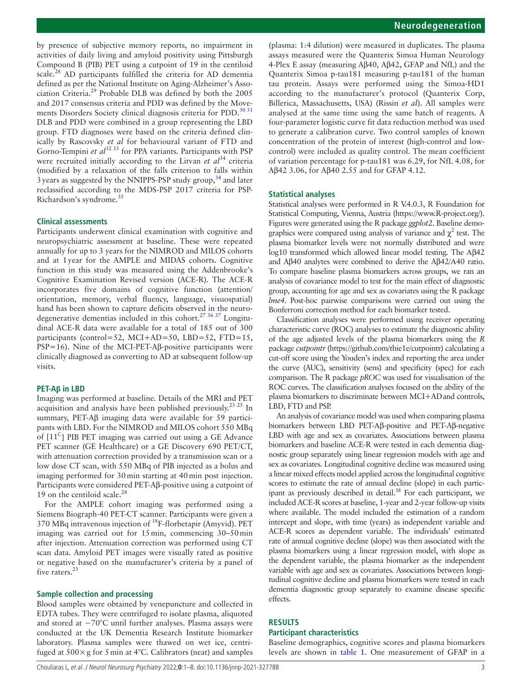by presence of subjective memory reports, no impairment in activities of daily living and amyloid positivity using Pittsburgh Compound B (PIB) PET using a cutpoint of 19 in the centiloid scale.<sup>[28](#page-7-12)</sup> AD participants fulfilled the criteria for AD dementia defined as per the National Institute on Aging-Alzheimer's Association Criteria.[29](#page-7-13) Probable DLB was defined by both the 2005 and 2017 consensus criteria and PDD was defined by the Move-ments Disorders Society clinical diagnosis criteria for PDD.<sup>[30 31](#page-7-14)</sup> DLB and PDD were combined in a group representing the LBD group. FTD diagnoses were based on the criteria defined clinically by Rascovsky *et al* for behavioural variant of FTD and Gorno-Tempini *et al*<sup>32 33</sup> for PPA variants. Participants with PSP were recruited initially according to the Litvan *et al*<sup>[34](#page-7-16)</sup> criteria (modified by a relaxation of the falls criterion to falls within  $3$  years as suggested by the NNIPPS-PSP study group,  $34$  and later reclassified according to the MDS-PSP 2017 criteria for PSP-Richardson's syndrome.<sup>[35](#page-7-17)</sup>

#### **Clinical assessments**

Participants underwent clinical examination with cognitive and neuropsychiatric assessment at baseline. These were repeated annually for up to 3 years for the NIMROD and MILOS cohorts and at 1year for the AMPLE and MIDAS cohorts. Cognitive function in this study was measured using the Addenbrooke's Cognitive Examination Revised version (ACE-R). The ACE-R incorporates five domains of cognitive function (attention/ orientation, memory, verbal fluency, language, visuospatial) hand has been shown to capture deficits observed in the neurodegenerative dementias included in this cohort[.27 36 37](#page-7-18) Longitudinal ACE-R data were available for a total of 185 out of 300 participants (control=52, MCI+AD=50, LBD=52, FTD=15, PSP=16). Nine of the MCI-PET-Aβ-positive participants were clinically diagnosed as converting to AD at subsequent follow-up visits.

#### **PET-Aβ in LBD**

Imaging was performed at baseline. Details of the MRI and PET acquisition and analysis have been published previously.<sup>[23 25](#page-7-9)</sup> In summary, PET-Aβ imaging data were available for 59 participants with LBD. For the NIMROD and MILOS cohort 550 MBq of  $[11<sup>C</sup>]$  PIB PET imaging was carried out using a GE Advance PET scanner (GE Healthcare) or a GE Discovery 690 PET/CT, with attenuation correction provided by a transmission scan or a low dose CT scan, with 550 MBq of PIB injected as a bolus and imaging performed for 30min starting at 40min post injection. Participants were considered PET-Aβ-positive using a cutpoint of 19 on the centiloid scale.<sup>28</sup>

For the AMPLE cohort imaging was performed using a Siemens Biograph-40 PET-CT scanner. Participants were given a 370 MBq intravenous injection of 18F-florbetapir (Amyvid). PET imaging was carried out for 15min, commencing 30–50min after injection. Attenuation correction was performed using CT scan data. Amyloid PET images were visually rated as positive or negative based on the manufacturer's criteria by a panel of five raters.<sup>[23](#page-7-9)</sup>

#### **Sample collection and processing**

Blood samples were obtained by venepuncture and collected in EDTA tubes. They were centrifuged to isolate plasma, aliquoted and stored at −70°C until further analyses. Plasma assays were conducted at the UK Dementia Research Institute biomarker laboratory. Plasma samples were thawed on wet ice, centrifuged at  $500 \times g$  for 5 min at 4°C. Calibrators (neat) and samples

(plasma: 1:4 dilution) were measured in duplicates. The plasma assays measured were the Quanterix Simoa Human Neurology 4-Plex E assay (measuring Aβ40, Aβ42, GFAP and NfL) and the Quanterix Simoa p-tau181 measuring p-tau181 of the human tau protein. Assays were performed using the Simoa-HD1 according to the manufacturer's protocol (Quanterix Corp, Billerica, Massachusetts, USA) ([Rissin](https://www.ncbi.nlm.nih.gov/pmc/articles/PMC7846133/#fcaa137-B30) *et al*). All samples were analysed at the same time using the same batch of reagents. A four-parameter logistic curve fit data reduction method was used to generate a calibration curve. Two control samples of known concentration of the protein of interest (high-control and lowcontrol) were included as quality control. The mean coefficient of variation percentage for p-tau181 was 6.29, for NfL 4.08, for Aβ42 3.06, for Aβ40 2.55 and for GFAP 4.12.

#### **Statistical analyses**

Statistical analyses were performed in R V.4.0.3, R Foundation for Statistical Computing, Vienna, Austria [\(https://www.R-project.org/](https://www.R-project.org/)). Figures were generated using the R package *ggplot2*. Baseline demographics were compared using analysis of variance and  $\chi^2$  test. The plasma biomarker levels were not normally distributed and were log10 transformed which allowed linear model testing. The Αβ42 and Aβ40 analytes were combined to derive the Aβ42/Α40 ratio. To compare baseline plasma biomarkers across groups, we ran an analysis of covariance model to test for the main effect of diagnostic group, accounting for age and sex as covariates using the R package *lme4*. Post-hoc pairwise comparisons were carried out using the Bonferroni correction method for each biomarker tested.

Classification analyses were performed using receiver operating characteristic curve (ROC) analyses to estimate the diagnostic ability of the age adjusted levels of the plasma biomarkers using the *R* package *cutpointr* [\(https://github.com/thie1e/cutpointr](https://github.com/thie1e/cutpointr)) calculating a cut-off score using the Youden's index and reporting the area under the curve (AUC), sensitivity (sens) and specificity (spec) for each comparison. The R package *pROC* was used for visualisation of the ROC curves. The classification analyses focused on the ability of the plasma biomarkers to discriminate between MCI+ADand controls, LBD, FTD and PSP.

An analysis of covariance model was used when comparing plasma biomarkers between LBD PET-Αβ-positive and PET-Aβ-negative LBD with age and sex as covariates. Associations between plasma biomarkers and baseline ACE-R were tested in each dementia diagnostic group separately using linear regression models with age and sex as covariates. Longitudinal cognitive decline was measured using a linear mixed effects model applied across the longitudinal cognitive scores to estimate the rate of annual decline (slope) in each participant as previously described in detail.<sup>38</sup> For each participant, we included ACE-R scores at baseline, 1-year and 2-year follow-up visits where available. The model included the estimation of a random intercept and slope, with time (years) as independent variable and ACE-R scores as dependent variable. The individuals' estimated rate of annual cognitive decline (slope) was then associated with the plasma biomarkers using a linear regression model, with slope as the dependent variable, the plasma biomarker as the independent variable with age and sex as covariates. Associations between longitudinal cognitive decline and plasma biomarkers were tested in each dementia diagnostic group separately to examine disease specific effects.

# **RESULTS**

# **Participant characteristics**

Baseline demographics, cognitive scores and plasma biomarkers levels are shown in [table](#page-1-0) 1. One measurement of GFAP in a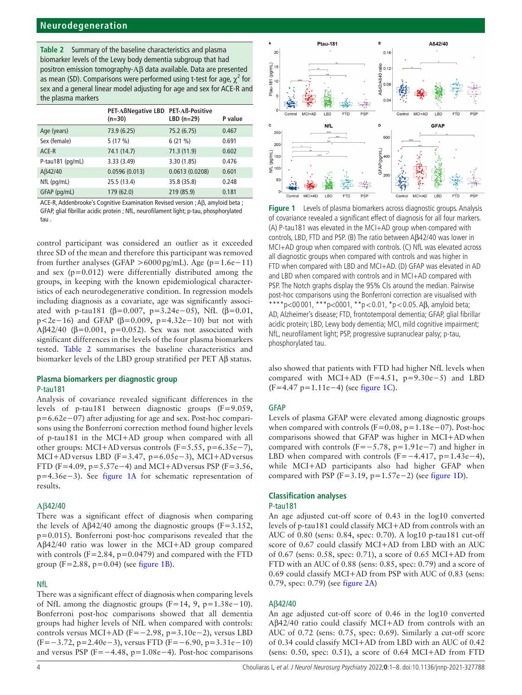<span id="page-3-0"></span>**Table 2** Summary of the baseline characteristics and plasma biomarker levels of the Lewy body dementia subgroup that had positron emission tomography-Αβ data available. Data are presented as mean (SD). Comparisons were performed using t-test for age,  $\chi^2$  for sex and a general linear model adjusting for age and sex for ACE-R and the plasma markers

|                  | PET-ABNegative LBD PET-AB-Positive<br>$(n=30)$ | LBD $(n=29)$   | P value |
|------------------|------------------------------------------------|----------------|---------|
| Age (years)      | 73.9 (6.25)                                    | 75.2 (6.75)    | 0.467   |
| Sex (female)     | 5(17%)                                         | 6(21%)         | 0.691   |
| ACE-R            | 74.1 (14.7)                                    | 71.3(11.9)     | 0.602   |
| P-tau181 (pg/mL) | 3.33 (3.49)                                    | 3.30(1.85)     | 0.476   |
| AB42/40          | 0.0596(0.013)                                  | 0.0613(0.0208) | 0.601   |
| $NfL$ (pg/mL)    | 25.5 (13.4)                                    | 35.8 (35.8)    | 0.248   |
| GFAP (pg/mL)     | 179 (62.0)                                     | 219 (85.9)     | 0.181   |

ACE-R, Addenbrooke's Cognitive Examination Revised version ; Aβ, amyloid beta ; GFAP, glial fibrillar acidic protein ; NfL, neurofilament light; p-tau, phosphorylated tau .

control participant was considered an outlier as it exceeded three SD of the mean and therefore this participant was removed from further analyses (GFAP >6000 pg/mL). Age ( $p=1.6e-11$ ) and sex  $(p=0.012)$  were differentially distributed among the groups, in keeping with the known epidemiological characteristics of each neurodegenerative condition. In regression models including diagnosis as a covariate, age was significantly associated with p-tau181 (β=0.007, p=3.24e-05), NfL (β=0.01, p<2e−16) and GFAP (β=0.009, p=4.32e−10) but not with Αβ42/40 (β=0.001, p=0.052). Sex was not associated with significant differences in the levels of the four plasma biomarkers tested. [Table](#page-3-0) 2 summarises the baseline characteristics and biomarker levels of the LBD group stratified per PET Aβ status.

# **Plasma biomarkers per diagnostic group**

#### P-tau181

Analysis of covariance revealed significant differences in the levels of p-tau181 between diagnostic groups (F=9.059, p=6.62e−07) after adjusting for age and sex. Post-hoc comparisons using the Bonferroni correction method found higher levels of p-tau181 in the MCI+AD group when compared with all other groups: MCI+ADversus controls (F=5.55, p=6.35e−7), MCI+ADversus LBD (F=3.47, p=6.05e−3), MCI+ADversus FTD (F=4.09, p=5.57e−4) and MCI+AD versus PSP (F=3.56, p=4.36e−3). See [figure](#page-3-1) 1A for schematic representation of results.

#### Αβ42/40

There was a significant effect of diagnosis when comparing the levels of  $A\beta$ 42/40 among the diagnostic groups (F=3.152, p=0.015). Bonferroni post-hoc comparisons revealed that the Αβ42/40 ratio was lower in the MCI+AD group compared with controls  $(F=2.84, p=0.0479)$  and compared with the FTD group ( $F = 2.88$ ,  $p = 0.04$ ) (see [figure](#page-3-1) 1B).

#### NfL

There was a significant effect of diagnosis when comparing levels of NfL among the diagnostic groups  $(F=14, 9, p=1.38e-10)$ . Bonferroni post-hoc comparisons showed that all dementia groups had higher levels of NfL when compared with controls: controls versus MCI+AD (F=−2.98, p=3.10e−2), versus LBD (F=−3.72, p=2.40e−3), versus FTD (F=−6.90, p=3.31e−10) and versus PSP (F=−4.48, p=1.08e−4). Post-hoc comparisons



<span id="page-3-1"></span>**Figure 1** Levels of plasma biomarkers across diagnostic groups. Analysis of covariance revealed a significant effect of diagnosis for all four markers. (A) P-tau181 was elevated in the MCI+AD group when compared with controls, LBD, FTD and PSP. (B) The ratio between Aβ42/40 was lower in MCI+AD group when compared with controls. (C) NfL was elevated across all diagnostic groups when compared with controls and was higher in FTD when compared with LBD and MCI+AD. (D) GFAP was elevated in AD and LBD when compared with controls and in MCI+AD compared with PSP. The Notch graphs display the 95% CIs around the median. Pairwise post-hoc comparisons using the Bonferroni correction are visualised with \*\*\*p<00 001, \*\*\*p<0001, \*\*p < 0.01, \*p < 0.05. Aβ, amyloid beta; AD, Alzheimer's disease; FTD, frontotemporal dementia; GFAP, glial fibrillar acidic protein; LBD, Lewy body dementia; MCI, mild cognitive impairment; NfL, neurofilament light; PSP, progressive supranuclear palsy; p-tau, phosphorylated tau.

also showed that patients with FTD had higher NfL levels when compared with MCI+AD (F=4.51, p=9.30e−5) and LBD (F=4.47 p=1.11e−4) (see [figure](#page-3-1) 1C).

#### **GFAP**

Levels of plasma GFAP were elevated among diagnostic groups when compared with controls (F=0.08, p=1.18e−07). Post-hoc comparisons showed that GFAP was higher in MCI+ADwhen compared with controls (F=−5.78, p=1.91e−7) and higher in LBD when compared with controls  $(F=-4.417, p=1.43e-4)$ , while MCI+AD participants also had higher GFAP when compared with PSP (F=3.19, p=1.57e−2) (see [figure](#page-3-1) 1D).

## **Classification analyses**

#### P-tau181

An age adjusted cut-off score of 0.43 in the log10 converted levels of p-tau181 could classify MCI+AD from controls with an AUC of 0.80 (sens: 0.84, spec: 0.70). A log10 p-tau181 cut-off score of 0.67 could classify MCI+AD from LBD with an AUC of 0.67 (sens: 0.58, spec: 0.71), a score of 0.65 MCI+AD from FTD with an AUC of 0.88 (sens: 0.85, spec: 0.79) and a score of 0.69 could classify MCI+AD from PSP with AUC of 0.83 (sens: 0.79, spec: 0.79) (see [figure](#page-4-0) 2A)

#### Aβ42/40

An age adjusted cut-off score of 0.46 in the log10 converted Αβ42/40 ratio could classify MCI+AD from controls with an AUC of 0.72 (sens: 0.75, spec: 0.69). Similarly a cut-off score of 0.34 could classify MCI+AD from LBD with an AUC of 0.42 (sens:  $0.50$ , spec:  $0.51$ ), a score of  $0.64$  MCI+AD from FTD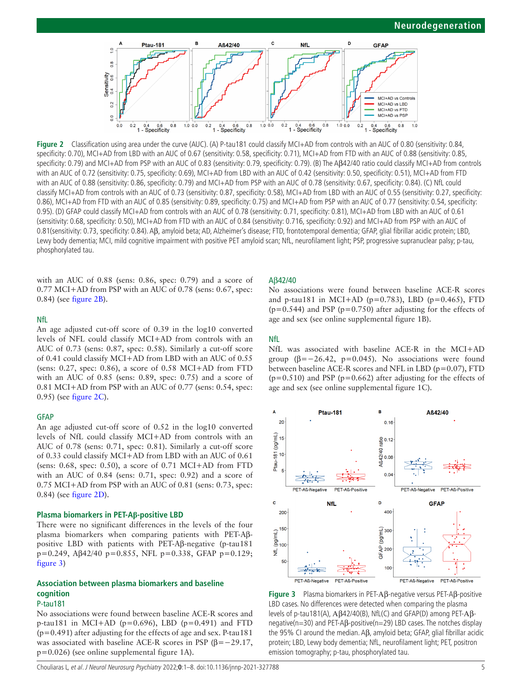<span id="page-4-0"></span>

**Figure 2** Classification using area under the curve (AUC). (A) P-tau181 could classify MCI+AD from controls with an AUC of 0.80 (sensitivity: 0.84, specificity: 0.70), MCI+AD from LBD with an AUC of 0.67 (sensitivity: 0.58, specificity: 0.71), MCI+AD from FTD with an AUC of 0.88 (sensitivity: 0.85, specificity: 0.79) and MCI+AD from PSP with an AUC of 0.83 (sensitivity: 0.79, specificity: 0.79). (B) The Aβ42/40 ratio could classify MCI+AD from controls with an AUC of 0.72 (sensitivity: 0.75, specificity: 0.69), MCI+AD from LBD with an AUC of 0.42 (sensitivity: 0.50, specificity: 0.51), MCI+AD from FTD with an AUC of 0.88 (sensitivity: 0.86, specificity: 0.79) and MCI+AD from PSP with an AUC of 0.78 (sensitivity: 0.67, specificity: 0.84). (C) NfL could classify MCI+AD from controls with an AUC of 0.73 (sensitivity: 0.87, specificity: 0.58), MCI+AD from LBD with an AUC of 0.55 (sensitivity: 0.27, specificity: 0.86), MCI+AD from FTD with an AUC of 0.85 (sensitivity: 0.89, specificity: 0.75) and MCI+AD from PSP with an AUC of 0.77 (sensitivity: 0.54, specificity: 0.95). (D) GFAP could classify MCI+AD from controls with an AUC of 0.78 (sensitivity: 0.71, specificity: 0.81), MCI+AD from LBD with an AUC of 0.61 (sensitivity: 0.68, specificity: 0.50), MCI+AD from FTD with an AUC of 0.84 (sensitivity: 0.716, specificity: 0.92) and MCI+AD from PSP with an AUC of 0.81(sensitivity: 0.73, specificity: 0.84). Aβ, amyloid beta; AD, Alzheimer's disease; FTD, frontotemporal dementia; GFAP, glial fibrillar acidic protein; LBD, Lewy body dementia; MCI, mild cognitive impairment with positive PET amyloid scan; NfL, neurofilament light; PSP, progressive supranuclear palsy; p-tau, phosphorylated tau.

with an AUC of 0.88 (sens: 0.86, spec: 0.79) and a score of 0.77 MCI+AD from PSP with an AUC of 0.78 (sens: 0.67, spec: 0.84) (see [figure](#page-4-0) 2B).

#### NfL

An age adjusted cut-off score of 0.39 in the log10 converted levels of NFL could classify MCI+AD from controls with an AUC of 0.73 (sens: 0.87, spec: 0.58). Similarly a cut-off score of 0.41 could classify MCI+AD from LBD with an AUC of 0.55 (sens: 0.27, spec: 0.86), a score of 0.58 MCI+AD from FTD with an AUC of 0.85 (sens: 0.89, spec: 0.75) and a score of 0.81 MCI+AD from PSP with an AUC of 0.77 (sens: 0.54, spec: 0.95) (see [figure](#page-4-0) 2C).

#### **GFAP**

An age adjusted cut-off score of 0.52 in the log10 converted levels of NfL could classify MCI+AD from controls with an AUC of 0.78 (sens: 0.71, spec: 0.81). Similarly a cut-off score of 0.33 could classify MCI+AD from LBD with an AUC of 0.61 (sens: 0.68, spec: 0.50), a score of 0.71 MCI+AD from FTD with an AUC of 0.84 (sens: 0.71, spec: 0.92) and a score of 0.75 MCI+AD from PSP with an AUC of 0.81 (sens: 0.73, spec: 0.84) (see [figure](#page-4-0) 2D).

#### **Plasma biomarkers in PET-Aβ-positive LBD**

There were no significant differences in the levels of the four plasma biomarkers when comparing patients with PET-Aβpositive LBD with patients with PET-Aβ-negative (p-tau181 p=0.249, Aβ42/40 p=0.855, NFL p=0.338, GFAP p=0.129; [figure](#page-4-1) 3)

# **Association between plasma biomarkers and baseline cognition**

P-tau181

No associations were found between baseline ACE-R scores and p-tau181 in MCI+AD ( $p=0.696$ ), LBD ( $p=0.491$ ) and FTD  $(p=0.491)$  after adjusting for the effects of age and sex. P-tau181 was associated with baseline ACE-R scores in PSP ( $\beta$ =−29.17, p=0.026) (see [online supplemental figure 1A](https://dx.doi.org/10.1136/jnnp-2021-327788)).

#### Aβ42/40

No associations were found between baseline ACE-R scores and p-tau181 in MCI+AD (p=0.783), LBD (p=0.465), FTD  $(p=0.544)$  and PSP ( $p=0.750$ ) after adjusting for the effects of age and sex (see [online supplemental figure 1B\)](https://dx.doi.org/10.1136/jnnp-2021-327788).

### NfL

NfL was associated with baseline ACE-R in the MCI+AD group ( $\beta = -26.42$ , p=0.045). No associations were found between baseline ACE-R scores and NFL in LBD (p=0.07), FTD  $(p=0.510)$  and PSP ( $p=0.662$ ) after adjusting for the effects of age and sex (see [online supplemental figure 1C\)](https://dx.doi.org/10.1136/jnnp-2021-327788).



<span id="page-4-1"></span>**Figure 3** Plasma biomarkers in PET-Αβ-negative versus PET-Aβ-positive LBD cases. No differences were detected when comparing the plasma levels of p-tau181(A), Αβ42/40(B), NfL(C) and GFAP(D) among PET-Αβnegative(n=30) and PET-AB-positive(n=29) LBD cases. The notches display the 95% CI around the median. Aβ, amyloid beta; GFAP, glial fibrillar acidic protein; LBD, Lewy body dementia; NfL, neurofilament light; PET, positron emission tomography; p-tau, phosphorylated tau.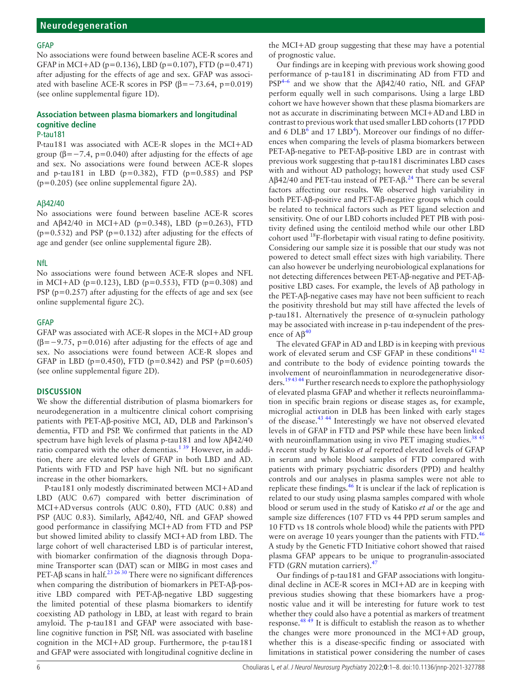#### GFAP

No associations were found between baseline ACE-R scores and GFAP in MCI+AD ( $p=0.136$ ), LBD ( $p=0.107$ ), FTD ( $p=0.471$ ) after adjusting for the effects of age and sex. GFAP was associated with baseline ACE-R scores in PSP ( $\beta$ =-73.64, p=0.019) (see [online supplemental figure 1D\)](https://dx.doi.org/10.1136/jnnp-2021-327788).

# **Association between plasma biomarkers and longitudinal cognitive decline**

#### P-tau181

P-tau181 was associated with ACE-R slopes in the MCI+AD group ( $\beta$ =−7.4, p=0.040) after adjusting for the effects of age and sex. No associations were found between ACE-R slopes and p-tau181 in LBD ( $p=0.382$ ), FTD ( $p=0.585$ ) and PSP (p=0.205) (see [online supplemental figure 2A](https://dx.doi.org/10.1136/jnnp-2021-327788)).

#### Aβ42/40

No associations were found between baseline ACE-R scores and  $A\beta42/40$  in MCI+AD (p=0.348), LBD (p=0.263), FTD  $(p=0.532)$  and PSP ( $p=0.132$ ) after adjusting for the effects of age and gender (see [online supplemental figure 2B\)](https://dx.doi.org/10.1136/jnnp-2021-327788).

#### NfL

No associations were found between ACE-R slopes and NFL in MCI+AD ( $p=0.123$ ), LBD ( $p=0.553$ ), FTD ( $p=0.308$ ) and PSP ( $p=0.257$ ) after adjusting for the effects of age and sex (see [online supplemental figure 2C\)](https://dx.doi.org/10.1136/jnnp-2021-327788).

#### GFAP

GFAP was associated with ACE-R slopes in the MCI+AD group ( $\beta$ =−9.75, p=0.016) after adjusting for the effects of age and sex. No associations were found between ACE-R slopes and GFAP in LBD ( $p=0.450$ ), FTD ( $p=0.842$ ) and PSP ( $p=0.605$ ) (see [online supplemental figure 2D\)](https://dx.doi.org/10.1136/jnnp-2021-327788).

#### **DISCUSSION**

We show the differential distribution of plasma biomarkers for neurodegeneration in a multicentre clinical cohort comprising patients with PET-Αβ-positive MCI, AD, DLB and Parkinson's dementia, FTD and PSP. We confirmed that patients in the AD spectrum have high levels of plasma p-tau181 and low Aβ42/40 ratio compared with the other dementias.<sup>139</sup> However, in addition, there are elevated levels of GFAP in both LBD and AD. Patients with FTD and PSP have high NfL but no significant increase in the other biomarkers.

P-tau181 only modestly discriminated between MCI+ADand LBD (AUC 0.67) compared with better discrimination of MCI+ADversus controls (AUC 0.80), FTD (AUC 0.88) and PSP (AUC 0.83). Similarly, Αβ42/40, NfL and GFAP showed good performance in classifying MCI+AD from FTD and PSP but showed limited ability to classify MCI+AD from LBD. The large cohort of well characterised LBD is of particular interest, with biomarker confirmation of the diagnosis through Dopamine Transporter scan (DAT) scan or MIBG in most cases and PET-Aβ scans in half.<sup>[23 26 30](#page-7-9)</sup> There were no significant differences when comparing the distribution of biomarkers in PET-Αβ-positive LBD compared with PET-Aβ-negative LBD suggesting the limited potential of these plasma biomarkers to identify coexisting AD pathology in LBD, at least with regard to brain amyloid. The p-tau181 and GFAP were associated with baseline cognitive function in PSP, NfL was associated with baseline cognition in the MCI+AD group. Furthermore, the p-tau181 and GFAP were associated with longitudinal cognitive decline in

the MCI+AD group suggesting that these may have a potential of prognostic value.

Our findings are in keeping with previous work showing good performance of p-tau181 in discriminating AD from FTD and PS[P4–6](#page-7-11) and we show that the Aβ42/40 ratio, NfL and GFAP perform equally well in such comparisons. Using a large LBD cohort we have however shown that these plasma biomarkers are not as accurate in discriminating between MCI+ADand LBD in contrast to previous work that used smaller LBD cohorts (17 PDD and 6  $DLB<sup>6</sup>$  and 17  $LBD<sup>4</sup>$  $LBD<sup>4</sup>$  $LBD<sup>4</sup>$ ). Moreover our findings of no differences when comparing the levels of plasma biomarkers between PET-Αβ-negative to PET-Aβ-positive LBD are in contrast with previous work suggesting that p-tau181 discriminates LBD cases with and without AD pathology; however that study used CSF Aβ42/40 and PET-tau instead of PET-Aβ.<sup>[24](#page-7-10)</sup> There can be several factors affecting our results. We observed high variability in both PET-Aβ-positive and PET-Aβ-negative groups which could be related to technical factors such as PET ligand selection and sensitivity. One of our LBD cohorts included PET PIB with positivity defined using the centiloid method while our other LBD cohort used 18F-florbetapir with visual rating to define positivity. Considering our sample size it is possible that our study was not powered to detect small effect sizes with high variability. There can also however be underlying neurobiological explanations for not detecting differences between PET-Aβ-negative and PET-Aβpositive LBD cases. For example, the levels of Aβ pathology in the PET-Αβ-negative cases may have not been sufficient to reach the positivity threshold but may still have affected the levels of p-tau181. Alternatively the presence of α-synuclein pathology may be associated with increase in p-tau independent of the presence of  $A\beta^{40}$  $A\beta^{40}$  $A\beta^{40}$ 

The elevated GFAP in AD and LBD is in keeping with previous work of elevated serum and CSF GFAP in these conditions<sup>[41 42](#page-7-21)</sup> and contribute to the body of evidence pointing towards the involvement of neuroinflammation in neurodegenerative disorders.<sup>194344</sup> Further research needs to explore the pathophysiology of elevated plasma GFAP and whether it reflects neuroinflammation in specific brain regions or disease stages as, for example, microglial activation in DLB has been linked with early stages of the disease.[43 44](#page-7-22) Interestingly we have not observed elevated levels in of GFAP in FTD and PSP while these have been linked with neuroinflammation using in vivo PET imaging studies.<sup>[38 45](#page-7-19)</sup> A recent study by Katisko *et al* reported elevated levels of GFAP in serum and whole blood samples of FTD compared with patients with primary psychiatric disorders (PPD) and healthy controls and our analyses in plasma samples were not able to replicate these findings. $46$  It is unclear if the lack of replication is related to our study using plasma samples compared with whole blood or serum used in the study of Katisko *et al* or the age and sample size differences (107 FTD vs 44 PPD serum samples and 10 FTD vs 18 controls whole blood) while the patients with PPD were on average 10 years younger than the patients with FTD.<sup>[46](#page-7-23)</sup> A study by the Genetic FTD Initiative cohort showed that raised plasma GFAP appears to be unique to progranulin-associated FTD (*GRN* mutation carriers)[.47](#page-7-24)

Our findings of p-tau181 and GFAP associations with longitudinal decline in ACE-R scores in MCI+AD are in keeping with previous studies showing that these biomarkers have a prognostic value and it will be interesting for future work to test whether they could also have a potential as markers of treatment response.<sup>48 49</sup> It is difficult to establish the reason as to whether the changes were more pronounced in the MCI+AD group, whether this is a disease-specific finding or associated with limitations in statistical power considering the number of cases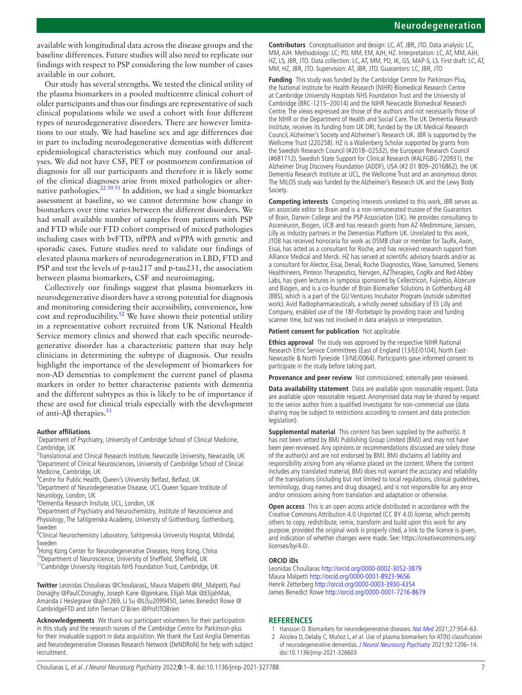available with longitudinal data across the disease groups and the baseline differences. Future studies will also need to replicate our findings with respect to PSP considering the low number of cases available in our cohort.

Our study has several strengths. We tested the clinical utility of the plasma biomarkers in a pooled multicentre clinical cohort of older participants and thus our findings are representative of such clinical populations while we used a cohort with four different types of neurodegenerative disorders. There are however limitations to our study. We had baseline sex and age differences due in part to including neurodegenerative dementias with different epidemiological characteristics which may confound our analyses. We did not have CSF, PET or postmortem confirmation of diagnosis for all our participants and therefore it is likely some of the clinical diagnoses arise from mixed pathologies or alternative pathologies.<sup>22 50 51</sup> In addition, we had a single biomarker assessment at baseline, so we cannot determine how change in biomarkers over time varies between the different disorders. We had small available number of samples from patients with PSP and FTD while our FTD cohort comprised of mixed pathologies including cases with bvFTD, nfPPA and svPPA with genetic and sporadic cases. Future studies need to validate our findings of elevated plasma markers of neurodegeneration in LBD, FTD and PSP and test the levels of p-tau217 and p-tau231, the association between plasma biomarkers, CSF and neuroimaging.

Collectively our findings suggest that plasma biomarkers in neurodegenerative disorders have a strong potential for diagnosis and monitoring considering their accessibility, convenience, low cost and reproducibility.<sup>[52](#page-7-26)</sup> We have shown their potential utility in a representative cohort recruited from UK National Health Service memory clinics and showed that each specific neurodegenerative disorder has a characteristic pattern that may help clinicians in determining the subtype of diagnosis. Our results highlight the importance of the development of biomarkers for non-AD dementias to complement the current panel of plasma markers in order to better characterise patients with dementia and the different subtypes as this is likely to be of importance if these are used for clinical trials especially with the development of anti- $A\beta$  therapies.<sup>[53](#page-7-27)</sup>

#### **Author affiliations**

<sup>1</sup>Department of Psychiatry, University of Cambridge School of Clinical Medicine, Cambridge, UK

<sup>2</sup> Translational and Clinical Research Institute, Newcastle University, Newcastle, UK <sup>3</sup>Department of Clinical Neurosciences, University of Cambridge School of Clinical Medicine, Cambridge, UK

4 Centre for Public Health, Queen's University Belfast, Belfast, UK

<sup>5</sup>Department of Neurodegenerative Disease, UCL Queen Square Institute of Neurology, London, UK

6 Dementia Research Insitute, UCL, London, UK

<sup>7</sup>Department of Psychiatry and Neurochemistry, Institute of Neuroscience and Physiology, The Sahlgrenska Academy, University of Gothenburg, Gothenburg, Sweden

8 Clinical Neurochemistry Laboratory, Sahlgrenska University Hospital, Mölndal, Sweden

- <sup>9</sup>Hong Kong Center for Neurodegenerative Diseases, Hong Kong, China
- <sup>10</sup>Department of Neuroscience, University of Sheffield, Sheffield, UK

<sup>11</sup>Cambridge University Hospitals NHS Foundation Trust, Cambridge, UK

**Twitter** Leonidas Chouliaras [@ChouliarasL](https://twitter.com/ChouliarasL), Maura Malpetti [@M\\_Malpetti,](https://twitter.com/M_Malpetti) Paul Donaghy [@PaulCDonaghy](https://twitter.com/PaulCDonaghy), Joseph Kane [@jpmkane](https://twitter.com/jpmkane), Elijah Mak [@ElijahMak](https://twitter.com/ElijahMak), Amanda J Heslegrave [@ajh1269,](https://twitter.com/ajh1269) Li Su [@LiSu2099450](https://twitter.com/LiSu2099450), James Benedict Rowe [@](https://twitter.com/CambridgeFTD) [CambridgeFTD](https://twitter.com/CambridgeFTD) and John Tiernan O'Brien [@ProfJTOBrien](https://twitter.com/ProfJTOBrien)

**Acknowledgements** We thank our participant volunteers for their participation in this study and the research nurses of the Cambridge Centre for Parkinson-plus for their invaluable support in data acquisition. We thank the East Anglia Dementias and Neurodegenerative Diseases Research Network (DeNDRoN) for help with subject recruitment.

**Contributors** Conceptualisation and design: LC, AT, JBR, JTO. Data analysis: LC, MM, AJH. Methodology: LC; PD, MM, EM, AJH, HZ. Interpretation: LC, AT, MM, AJH, HZ, LS, JBR, JTO. Data collection: LC, AT, MM, PD, JK, GS, MAP-S, LS. First draft: LC, AT, MM, HZ, JBR, JTO. Supervision: AT, JBR, JTO. Guarantors: LC, JBR, JTO

**Funding** This study was funded by the Cambridge Centre for Parkinson-Plus, the National Institute for Health Research (NIHR) Biomedical Research Centre at Cambridge University Hospitals NHS Foundation Trust and the University of Cambridge (BRC-1215–20014) and the NIHR Newcastle Biomedical Research Centre. The views expressed are those of the authors and not necessarily those of the NIHR or the Department of Health and Social Care. The UK Dementia Research Institute, receives its funding from UK DRI, funded by the UK Medical Research Council, Alzheimer's Society and Alzheimer's Research UK. JBR is supported by the Wellcome Trust (220258). HZ is a Wallenberg Scholar supported by grants from the Swedish Research Council (#2018–02532), the European Research Council (#681712), Swedish State Support for Clinical Research (#ALFGBG-720931), the Alzheimer Drug Discovery Foundation (ADDF), USA (#2 01 809–2016862), the UK Dementia Research Institute at UCL, the Wellcome Trust and an anonymous donor. The MILOS study was funded by the Alzheimer's Research UK and the Lewy Body Society.

**Competing interests** Competing interests unrelated to this work, JBR serves as an associate editor to Brain and is a non-remunerated trustee of the Guarantors of Brain, Darwin College and the PSP Association (UK). He provides consultancy to Asceneuron, Biogen, UCB and has research grants from AZ-Medimmune, Janssen, Lilly as industry partners in the Dementias Platform UK. Unrelated to this work, JTOB has received honoraria for work as DSMB chair or member for TauRx, Axon, Eisai, has acted as a consultant for Roche, and has received research support from Alliance Medical and Merck. HZ has served at scientific advisory boards and/or as a consultant for Alector, Eisai, Denali, Roche Diagnostics, Wave, Samumed, Siemens Healthineers, Pinteon Therapeutics, Nervgen, AZTherapies, CogRx and Red Abbey Labs, has given lectures in symposia sponsored by Cellectricon, Fujirebio, Alzecure and Biogen, and is a co-founder of Brain Biomarker Solutions in Gothenburg AB (BBS), which is a part of the GU Ventures Incubator Program (outside submitted work). Avid Radiopharmaceuticals, a wholly owned subsidiary of Eli Lilly and Company, enabled use of the 18F-florbetapir by providing tracer and funding scanner time, but was not involved in data analysis or interpretation.

#### **Patient consent for publication** Not applicable.

**Ethics approval** The study was approved by the respective NIHR National Research Ethic Service Committees (East of England (13/EE/0104), North East-Newcastle & North Tyneside 13/NE/0064). Participants gave informed consent to participate in the study before taking part.

**Provenance and peer review** Not commissioned; externally peer reviewed.

**Data availability statement** Data are available upon reasonable request. Data are available upon reasonable request. Anonymised data may be shared by request to the senior author from a qualified investigator for non-commercial use (data sharing may be subject to restrictions according to consent and data protection legislation).

**Supplemental material** This content has been supplied by the author(s). It has not been vetted by BMJ Publishing Group Limited (BMJ) and may not have been peer-reviewed. Any opinions or recommendations discussed are solely those of the author(s) and are not endorsed by BMJ. BMJ disclaims all liability and responsibility arising from any reliance placed on the content. Where the content includes any translated material, BMJ does not warrant the accuracy and reliability of the translations (including but not limited to local regulations, clinical guidelines, terminology, drug names and drug dosages), and is not responsible for any error and/or omissions arising from translation and adaptation or otherwise.

**Open access** This is an open access article distributed in accordance with the Creative Commons Attribution 4.0 Unported (CC BY 4.0) license, which permits others to copy, redistribute, remix, transform and build upon this work for any purpose, provided the original work is properly cited, a link to the licence is given, and indication of whether changes were made. See: [https://creativecommons.org/](https://creativecommons.org/licenses/by/4.0/) [licenses/by/4.0/.](https://creativecommons.org/licenses/by/4.0/)

#### **ORCID iDs**

Leonidas Chouliaras <http://orcid.org/0000-0002-3052-3879> Maura Malpetti <http://orcid.org/0000-0001-8923-9656> Henrik Zetterberg<http://orcid.org/0000-0003-3930-4354> James Benedict Rowe<http://orcid.org/0000-0001-7216-8679>

#### **REFERENCES**

- <span id="page-6-0"></span>1 Hansson O. Biomarkers for neurodegenerative diseases. [Nat Med](http://dx.doi.org/10.1038/s41591-021-01382-x) 2021;27:954–63.
- <span id="page-6-1"></span>2 Alcolea D, Delaby C, Muñoz L, et al. Use of plasma biomarkers for AT(N) classification of neurodegenerative dementias. [J Neurol Neurosurg Psychiatry](http://dx.doi.org/10.1136/jnnp-2021-326603) 2021;92:1206-14. doi:10.1136/jnnp-2021-326603